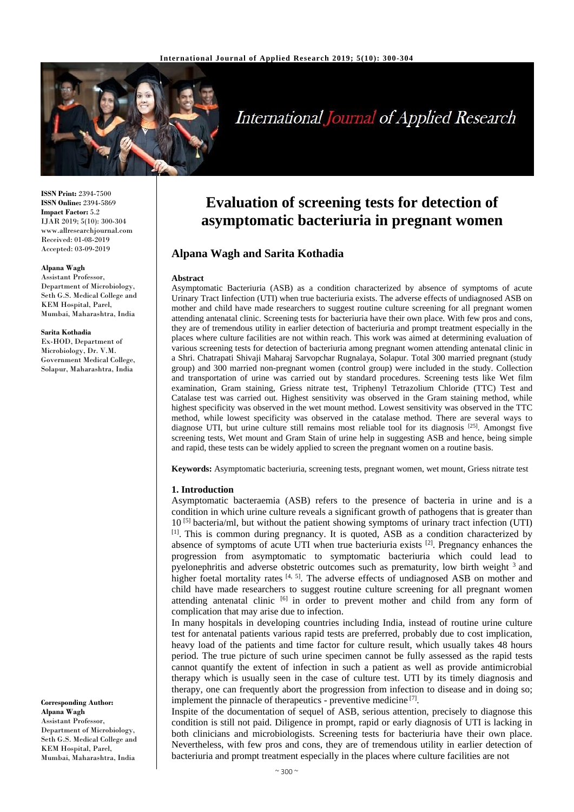

# **International Journal of Applied Research**

**ISSN Print:** 2394-7500 **ISSN Online:** 2394-5869 **Impact Factor:** 5.2 IJAR 2019; 5(10): 300-304 www.allresearchjournal.com Received: 01-08-2019 Accepted: 03-09-2019

#### **Alpana Wagh**

Assistant Professor, Department of Microbiology, Seth G.S. Medical College and KEM Hospital, Parel, Mumbai, Maharashtra, India

#### **Sarita Kothadia**

Ex-HOD, Department of Microbiology, Dr. V.M. Government Medical College, Solapur, Maharashtra, India

**Corresponding Author: Alpana Wagh** Assistant Professor, Department of Microbiology, Seth G.S. Medical College and KEM Hospital, Parel, Mumbai, Maharashtra, India

## **Evaluation of screening tests for detection of asymptomatic bacteriuria in pregnant women**

## **Alpana Wagh and Sarita Kothadia**

#### **Abstract**

Asymptomatic Bacteriuria (ASB) as a condition characterized by absence of symptoms of acute Urinary Tract Iinfection (UTI) when true bacteriuria exists. The adverse effects of undiagnosed ASB on mother and child have made researchers to suggest routine culture screening for all pregnant women attending antenatal clinic. Screening tests for bacteriuria have their own place. With few pros and cons, they are of tremendous utility in earlier detection of bacteriuria and prompt treatment especially in the places where culture facilities are not within reach. This work was aimed at determining evaluation of various screening tests for detection of bacteriuria among pregnant women attending antenatal clinic in a Shri. Chatrapati Shivaji Maharaj Sarvopchar Rugnalaya, Solapur. Total 300 married pregnant (study group) and 300 married non-pregnant women (control group) were included in the study. Collection and transportation of urine was carried out by standard procedures. Screening tests like Wet film examination, Gram staining, Griess nitrate test, Triphenyl Tetrazolium Chloride (TTC) Test and Catalase test was carried out. Highest sensitivity was observed in the Gram staining method, while highest specificity was observed in the wet mount method. Lowest sensitivity was observed in the TTC method, while lowest specificity was observed in the catalase method. There are several ways to diagnose UTI, but urine culture still remains most reliable tool for its diagnosis [25]. Amongst five screening tests, Wet mount and Gram Stain of urine help in suggesting ASB and hence, being simple and rapid, these tests can be widely applied to screen the pregnant women on a routine basis.

**Keywords:** Asymptomatic bacteriuria, screening tests, pregnant women, wet mount, Griess nitrate test

#### **1. Introduction**

Asymptomatic bacteraemia (ASB) refers to the presence of bacteria in urine and is a condition in which urine culture reveals a significant growth of pathogens that is greater than 10 [5] bacteria/ml, but without the patient showing symptoms of urinary tract infection (UTI) [1]. This is common during pregnancy. It is quoted, ASB as a condition characterized by absence of symptoms of acute UTI when true bacteriuria exists  $[2]$ . Pregnancy enhances the progression from asymptomatic to symptomatic bacteriuria which could lead to pyelonephritis and adverse obstetric outcomes such as prematurity, low birth weight <sup>3</sup> and higher foetal mortality rates  $[4, 5]$ . The adverse effects of undiagnosed ASB on mother and child have made researchers to suggest routine culture screening for all pregnant women attending antenatal clinic [6] in order to prevent mother and child from any form of complication that may arise due to infection.

In many hospitals in developing countries including India, instead of routine urine culture test for antenatal patients various rapid tests are preferred, probably due to cost implication, heavy load of the patients and time factor for culture result, which usually takes 48 hours period. The true picture of such urine specimen cannot be fully assessed as the rapid tests cannot quantify the extent of infection in such a patient as well as provide antimicrobial therapy which is usually seen in the case of culture test. UTI by its timely diagnosis and therapy, one can frequently abort the progression from infection to disease and in doing so; implement the pinnacle of therapeutics - preventive medicine<sup>[7]</sup>.

Inspite of the documentation of sequel of ASB, serious attention, precisely to diagnose this condition is still not paid. Diligence in prompt, rapid or early diagnosis of UTI is lacking in both clinicians and microbiologists. Screening tests for bacteriuria have their own place. Nevertheless, with few pros and cons, they are of tremendous utility in earlier detection of bacteriuria and prompt treatment especially in the places where culture facilities are not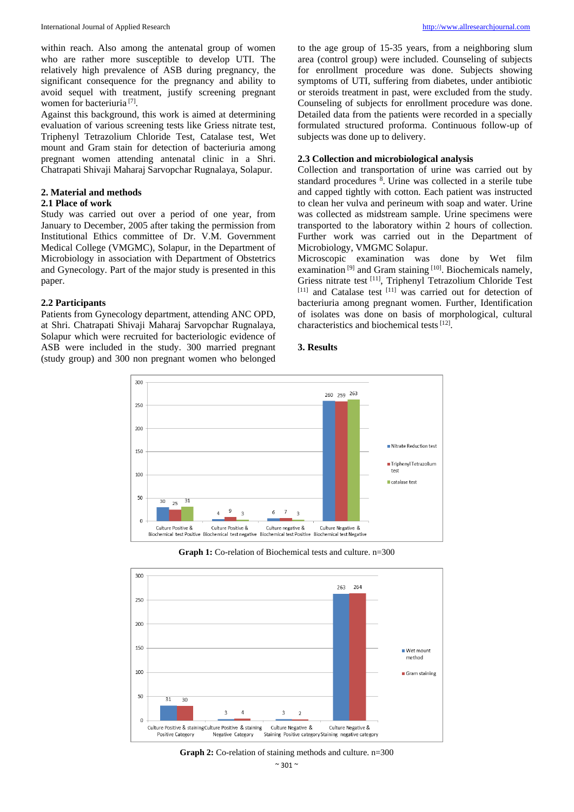within reach. Also among the antenatal group of women who are rather more susceptible to develop UTI. The relatively high prevalence of ASB during pregnancy, the significant consequence for the pregnancy and ability to avoid sequel with treatment, justify screening pregnant women for bacteriuria<sup>[7]</sup>.

Against this background, this work is aimed at determining evaluation of various screening tests like Griess nitrate test, Triphenyl Tetrazolium Chloride Test, Catalase test, Wet mount and Gram stain for detection of bacteriuria among pregnant women attending antenatal clinic in a Shri. Chatrapati Shivaji Maharaj Sarvopchar Rugnalaya, Solapur.

## **2. Material and methods**

## **2.1 Place of work**

Study was carried out over a period of one year, from January to December, 2005 after taking the permission from Institutional Ethics committee of Dr. V.M. Government Medical College (VMGMC), Solapur, in the Department of Microbiology in association with Department of Obstetrics and Gynecology. Part of the major study is presented in this paper.

## **2.2 Participants**

Patients from Gynecology department, attending ANC OPD, at Shri. Chatrapati Shivaji Maharaj Sarvopchar Rugnalaya, Solapur which were recruited for bacteriologic evidence of ASB were included in the study. 300 married pregnant (study group) and 300 non pregnant women who belonged

to the age group of 15-35 years, from a neighboring slum area (control group) were included. Counseling of subjects for enrollment procedure was done. Subjects showing symptoms of UTI, suffering from diabetes, under antibiotic or steroids treatment in past, were excluded from the study. Counseling of subjects for enrollment procedure was done. Detailed data from the patients were recorded in a specially formulated structured proforma. Continuous follow-up of subjects was done up to delivery.

## **2.3 Collection and microbiological analysis**

Collection and transportation of urine was carried out by standard procedures <sup>8</sup>. Urine was collected in a sterile tube and capped tightly with cotton. Each patient was instructed to clean her vulva and perineum with soap and water. Urine was collected as midstream sample. Urine specimens were transported to the laboratory within 2 hours of collection. Further work was carried out in the Department of Microbiology, VMGMC Solapur.

Microscopic examination was done by Wet film examination<sup>[9]</sup> and Gram staining<sup>[10]</sup>. Biochemicals namely, Griess nitrate test [11] , Triphenyl Tetrazolium Chloride Test [11] and Catalase test [11] was carried out for detection of bacteriuria among pregnant women. Further, Identification of isolates was done on basis of morphological, cultural characteristics and biochemical tests<sup>[12]</sup>.

## **3. Results**



**Graph 1:** Co-relation of Biochemical tests and culture. n=300



**Graph 2:** Co-relation of staining methods and culture. n=300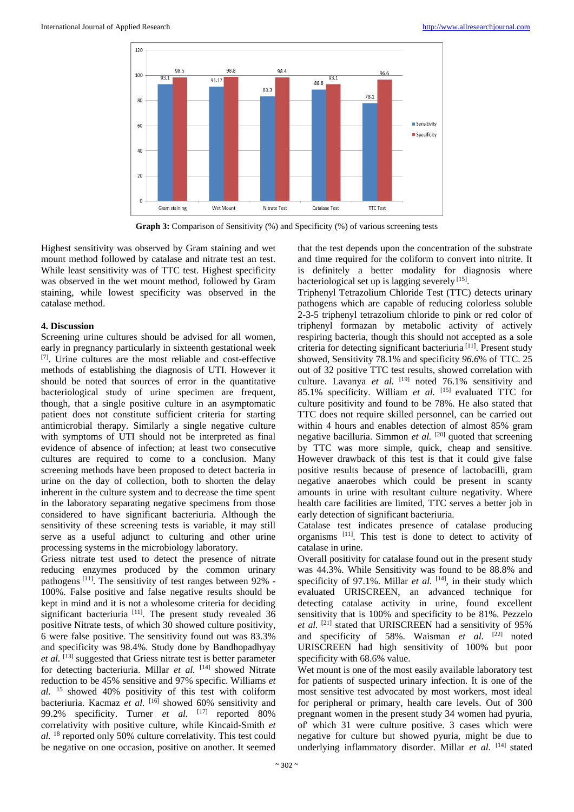

Graph 3: Comparison of Sensitivity (%) and Specificity (%) of various screening tests

Highest sensitivity was observed by Gram staining and wet mount method followed by catalase and nitrate test an test. While least sensitivity was of TTC test. Highest specificity was observed in the wet mount method, followed by Gram staining, while lowest specificity was observed in the catalase method.

## **4. Discussion**

Screening urine cultures should be advised for all women, early in pregnancy particularly in sixteenth gestational week [7] . Urine cultures are the most reliable and cost-effective methods of establishing the diagnosis of UTI. However it should be noted that sources of error in the quantitative bacteriological study of urine specimen are frequent, though, that a single positive culture in an asymptomatic patient does not constitute sufficient criteria for starting antimicrobial therapy. Similarly a single negative culture with symptoms of UTI should not be interpreted as final evidence of absence of infection; at least two consecutive cultures are required to come to a conclusion. Many screening methods have been proposed to detect bacteria in urine on the day of collection, both to shorten the delay inherent in the culture system and to decrease the time spent in the laboratory separating negative specimens from those considered to have significant bacteriuria. Although the sensitivity of these screening tests is variable, it may still serve as a useful adjunct to culturing and other urine processing systems in the microbiology laboratory.

Griess nitrate test used to detect the presence of nitrate reducing enzymes produced by the common urinary pathogens<sup>[11]</sup>. The sensitivity of test ranges between 92% -100%. False positive and false negative results should be kept in mind and it is not a wholesome criteria for deciding significant bacteriuria [11]. The present study revealed 36 positive Nitrate tests, of which 30 showed culture positivity, 6 were false positive. The sensitivity found out was 83.3% and specificity was 98.4%. Study done by Bandhopadhyay et al. <sup>[13]</sup> suggested that Griess nitrate test is better parameter for detecting bacteriuria. Millar et al. [14] showed Nitrate reduction to be 45% sensitive and 97% specific. Williams *et*   $al.$  <sup>15</sup> showed 40% positivity of this test with coliform bacteriuria. Kacmaz et al. [16] showed 60% sensitivity and 99.2% specificity. Turner *et al.* [17] reported 80% correlativity with positive culture, while Kincaid-Smith *et al.* <sup>18</sup> reported only 50% culture correlativity. This test could be negative on one occasion, positive on another. It seemed

that the test depends upon the concentration of the substrate and time required for the coliform to convert into nitrite. It is definitely a better modality for diagnosis where bacteriological set up is lagging severely<sup>[15]</sup>.

Triphenyl Tetrazolium Chloride Test (TTC) detects urinary pathogens which are capable of reducing colorless soluble 2-3-5 triphenyl tetrazolium chloride to pink or red color of triphenyl formazan by metabolic activity of actively respiring bacteria, though this should not accepted as a sole criteria for detecting significant bacteriuria [11] . Present study showed, Sensitivity 78.1% and specificity *96.6*% of TTC. 25 out of 32 positive TTC test results, showed correlation with culture. Lavanya *et al.* <sup>[19]</sup> noted 76.1% sensitivity and 85.1% specificity. William *et al.* [15] evaluated TTC for culture positivity and found to be 78%. He also stated that TTC does not require skilled personnel, can be carried out within 4 hours and enables detection of almost 85% gram negative bacilluria. Simmon *et al.* [20] quoted that screening by TTC was more simple, quick, cheap and sensitive. However drawback of this test is that it could give false positive results because of presence of lactobacilli, gram negative anaerobes which could be present in scanty amounts in urine with resultant culture negativity. Where health care facilities are limited, TTC serves a better job in early detection of significant bacteriuria.

Catalase test indicates presence of catalase producing organisms [11] . This test is done to detect to activity of catalase in urine.

Overall positivity for catalase found out in the present study was 44.3%. While Sensitivity was found to be 88.8% and specificity of 97.1%. Millar *et al.* <sup>[14]</sup>, in their study which evaluated URISCREEN, an advanced technique for detecting catalase activity in urine, found excellent sensitivity that is 100% and specificity to be 81%. Pezzelo et al. <sup>[21]</sup> stated that URISCREEN had a sensitivity of 95% and specificity of 58%. Waisman et al. [22] noted URISCREEN had high sensitivity of 100% but poor specificity with 68.6% value.

Wet mount is one of the most easily available laboratory test for patients of suspected urinary infection. It is one of the most sensitive test advocated by most workers, most ideal for peripheral or primary, health care levels. Out of 300 pregnant women in the present study 34 women had pyuria, of' which 31 were culture positive. 3 cases which were negative for culture but showed pyuria, might be due to underlying inflammatory disorder. Millar et al. [14] stated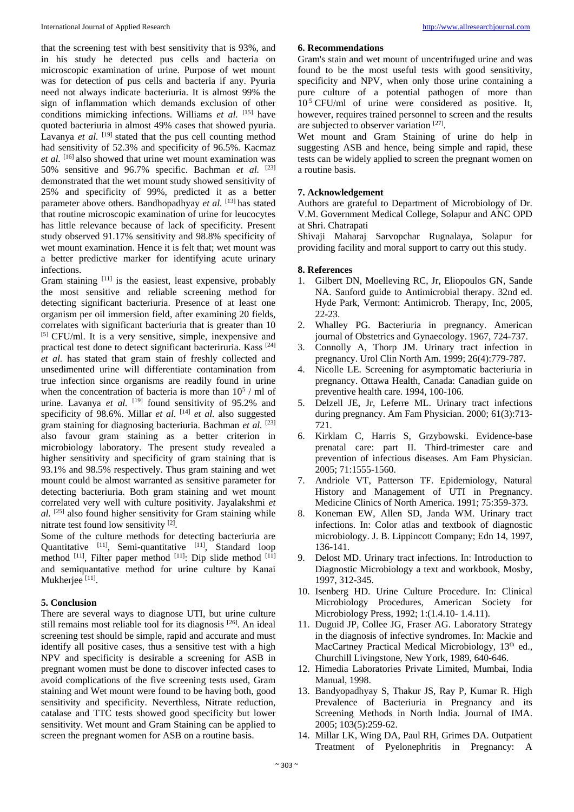that the screening test with best sensitivity that is 93%, and in his study he detected pus cells and bacteria on microscopic examination of urine. Purpose of wet mount was for detection of pus cells and bacteria if any. Pyuria need not always indicate bacteriuria. It is almost 99% the sign of inflammation which demands exclusion of other conditions mimicking infections. Williams *et al.* [15] have quoted bacteriuria in almost 49% cases that showed pyuria. Lavanya et al. <sup>[19]</sup> stated that the pus cell counting method had sensitivity of 52.3% and specificity of 96.5%*.* Kacmaz *et al.* [16] also showed that urine wet mount examination was 50% sensitive and 96.7% specific. Bachman *et al.* [23] demonstrated that the wet mount study showed sensitivity of 25% and specificity of 99%, predicted it as a better parameter above others. Bandhopadhyay *et al.* [13] has stated that routine microscopic examination of urine for leucocytes has little relevance because of lack of specificity. Present study observed 91.17% sensitivity and 98.8% specificity of wet mount examination. Hence it is felt that; wet mount was a better predictive marker for identifying acute urinary infections.

Gram staining [11] is the easiest, least expensive, probably the most sensitive and reliable screening method for detecting significant bacteriuria. Presence of at least one organism per oil immersion field, after examining 20 fields, correlates with significant bacteriuria that is greater than 10 [5] CFU/ml. It is a very sensitive, simple, inexpensive and practical test done to detect significant bacteriruria. Kass [24] *et al.* has stated that gram stain of freshly collected and unsedimented urine will differentiate contamination from true infection since organisms are readily found in urine when the concentration of bacteria is more than  $10^5$  / ml of urine. Lavanya et al. <sup>[19]</sup> found sensitivity of 95.2% and specificity of 98.6%. Millar *et al.* [14] *et al.* also suggested gram staining for diagnosing bacteriuria. Bachman *et al.* [23] also favour gram staining as a better criterion in microbiology laboratory. The present study revealed a higher sensitivity and specificity of gram staining that is 93.1% and 98.5% respectively. Thus gram staining and wet mount could be almost warranted as sensitive parameter for detecting bacteriuria. Both gram staining and wet mount correlated very well with culture positivity. Jayalakshmi *et al.* [25] also found higher sensitivity for Gram staining while nitrate test found low sensitivity [2].

Some of the culture methods for detecting bacteriuria are Quantitative [11], Semi-quantitative [11], Standard loop method  $^{[11]}$ , Filter paper method  $^{[11]}$ . Dip slide method  $^{[11]}$ and semiquantative method for urine culture by Kanai Mukherjee<sup>[11]</sup>.

### **5. Conclusion**

There are several ways to diagnose UTI, but urine culture still remains most reliable tool for its diagnosis<sup>[26]</sup>. An ideal screening test should be simple, rapid and accurate and must identify all positive cases, thus a sensitive test with a high NPV and specificity is desirable a screening for ASB in pregnant women must be done to discover infected cases to avoid complications of the five screening tests used, Gram staining and Wet mount were found to be having both, good sensitivity and specificity. Neverthless, Nitrate reduction, catalase and TTC tests showed good specificity but lower sensitivity. Wet mount and Gram Staining can be applied to screen the pregnant women for ASB on a routine basis.

## **6. Recommendations**

Gram's stain and wet mount of uncentrifuged urine and was found to be the most useful tests with good sensitivity, specificity and NPV, when only those urine containing a pure culture of a potential pathogen of more than  $10<sup>5</sup>$  CFU/ml of urine were considered as positive. It, however, requires trained personnel to screen and the results are subjected to observer variation [27].

Wet mount and Gram Staining of urine do help in suggesting ASB and hence, being simple and rapid, these tests can be widely applied to screen the pregnant women on a routine basis.

## **7. Acknowledgement**

Authors are grateful to Department of Microbiology of Dr. V.M. Government Medical College, Solapur and ANC OPD at Shri. Chatrapati

Shivaji Maharaj Sarvopchar Rugnalaya, Solapur for providing facility and moral support to carry out this study.

## **8. References**

- 1. Gilbert DN, Moelleving RC, Jr, Eliopoulos GN, Sande NA. Sanford guide to Antimicrobial therapy. 32nd ed. Hyde Park, Vermont: Antimicrob. Therapy, Inc, 2005, 22-23.
- 2. Whalley PG. Bacteriuria in pregnancy. American journal of Obstetrics and Gynaecology. 1967, 724-737.
- 3. Connolly A, Thorp JM. Urinary tract infection in pregnancy. Urol Clin North Am. 1999; 26(4):779-787.
- 4. Nicolle LE. Screening for asymptomatic bacteriuria in pregnancy. Ottawa Health, Canada: Canadian guide on preventive health care. 1994, 100-106.
- 5. Delzell JE, Jr, Leferre ML. Urinary tract infections during pregnancy. Am Fam Physician. 2000; 61(3):713- 721.
- 6. Kirklam C, Harris S, Grzybowski. Evidence-base prenatal care: part II. Third-trimester care and prevention of infectious diseases. Am Fam Physician. 2005; 71:1555-1560.
- 7. Andriole VT, Patterson TF. Epidemiology, Natural History and Management of UTI in Pregnancy. Medicine Clinics of North America. 1991; 75:359-373.
- 8. Koneman EW, Allen SD, Janda WM. Urinary tract infections. In: Color atlas and textbook of diagnostic microbiology. J. B. Lippincott Company; Edn 14, 1997, 136-141.
- 9. Delost MD. Urinary tract infections. In: Introduction to Diagnostic Microbiology a text and workbook, Mosby, 1997, 312-345.
- 10. Isenberg HD. Urine Culture Procedure. In: Clinical Microbiology Procedures, American Society for Microbiology Press, 1992; 1:(1.4.10- 1.4.11).
- 11. Duguid JP, Collee JG, Fraser AG. Laboratory Strategy in the diagnosis of infective syndromes. In: Mackie and MacCartney Practical Medical Microbiology, 13<sup>th</sup> ed., Churchill Livingstone, New York, 1989, 640-646.
- 12. Himedia Laboratories Private Limited, Mumbai, India Manual, 1998.
- 13. Bandyopadhyay S, Thakur JS, Ray P, Kumar R. High Prevalence of Bacteriuria in Pregnancy and its Screening Methods in North India. Journal of IMA. 2005; 103(5):259-62.
- 14. Millar LK, Wing DA, Paul RH, Grimes DA. Outpatient Treatment of Pyelonephritis in Pregnancy: A